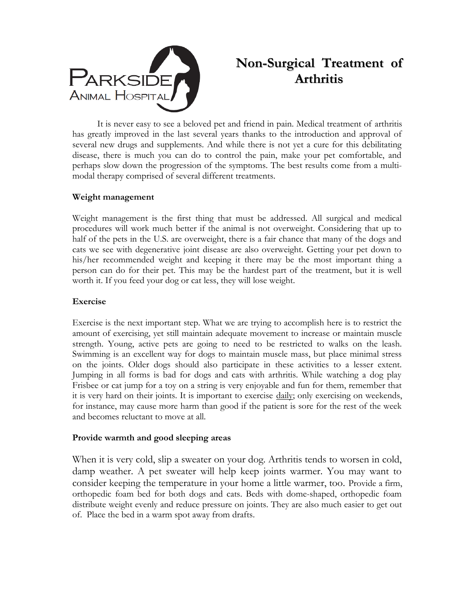

# **Non-Surgical Treatment of Arthritis**

It is never easy to see a beloved pet and friend in pain. Medical treatment of arthritis has greatly improved in the last several years thanks to the introduction and approval of several new drugs and supplements. And while there is not yet a cure for this debilitating disease, there is much you can do to control the pain, make your pet comfortable, and perhaps slow down the progression of the symptoms. The best results come from a multimodal therapy comprised of several different treatments.

# **Weight management**

Weight management is the first thing that must be addressed. All surgical and medical procedures will work much better if the animal is not overweight. Considering that up to half of the pets in the U.S. are overweight, there is a fair chance that many of the dogs and cats we see with degenerative joint disease are also overweight. Getting your pet down to his/her recommended weight and keeping it there may be the most important thing a person can do for their pet. This may be the hardest part of the treatment, but it is well worth it. If you feed your dog or cat less, they will lose weight.

# **Exercise**

Exercise is the next important step. What we are trying to accomplish here is to restrict the amount of exercising, yet still maintain adequate movement to increase or maintain muscle strength. Young, active pets are going to need to be restricted to walks on the leash. Swimming is an excellent way for dogs to maintain muscle mass, but place minimal stress on the joints. Older dogs should also participate in these activities to a lesser extent. Jumping in all forms is bad for dogs and cats with arthritis. While watching a dog play Frisbee or cat jump for a toy on a string is very enjoyable and fun for them, remember that it is very hard on their joints. It is important to exercise daily; only exercising on weekends, for instance, may cause more harm than good if the patient is sore for the rest of the week and becomes reluctant to move at all.

# **Provide warmth and good sleeping areas**

When it is very cold, slip a sweater on your dog. Arthritis tends to worsen in cold, damp weather. A pet sweater will help keep joints warmer. You may want to consider keeping the temperature in your home a little warmer, too. Provide a firm, orthopedic foam bed for both dogs and cats. Beds with dome-shaped, orthopedic foam distribute weight evenly and reduce pressure on joints. They are also much easier to get out of. Place the bed in a warm spot away from drafts.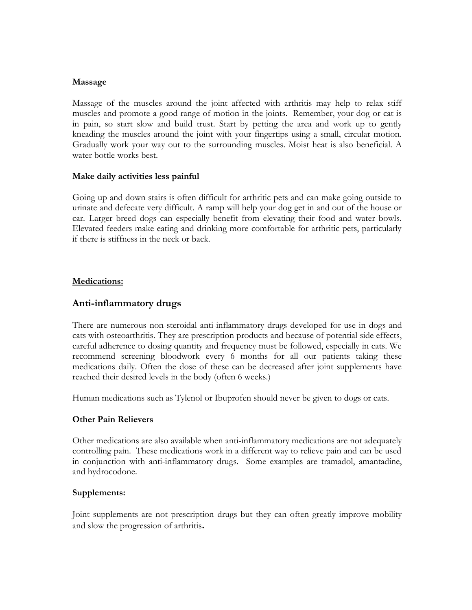## **Massage**

Massage of the muscles around the joint affected with arthritis may help to relax stiff muscles and promote a good range of motion in the joints. Remember, your dog or cat is in pain, so start slow and build trust. Start by petting the area and work up to gently kneading the muscles around the joint with your fingertips using a small, circular motion. Gradually work your way out to the surrounding muscles. Moist heat is also beneficial. A water bottle works best.

# **Make daily activities less painful**

Going up and down stairs is often difficult for arthritic pets and can make going outside to urinate and defecate very difficult. A ramp will help your dog get in and out of the house or car. Larger breed dogs can especially benefit from elevating their food and water bowls. Elevated feeders make eating and drinking more comfortable for arthritic pets, particularly if there is stiffness in the neck or back.

# **Medications:**

# **Anti-inflammatory drugs**

There are numerous non-steroidal anti-inflammatory drugs developed for use in dogs and cats with osteoarthritis. They are prescription products and because of potential side effects, careful adherence to dosing quantity and frequency must be followed, especially in cats. We recommend screening bloodwork every 6 months for all our patients taking these medications daily. Often the dose of these can be decreased after joint supplements have reached their desired levels in the body (often 6 weeks.)

Human medications such as Tylenol or Ibuprofen should never be given to dogs or cats.

# **Other Pain Relievers**

Other medications are also available when anti-inflammatory medications are not adequately controlling pain. These medications work in a different way to relieve pain and can be used in conjunction with anti-inflammatory drugs. Some examples are tramadol, amantadine, and hydrocodone.

## **Supplements:**

Joint supplements are not prescription drugs but they can often greatly improve mobility and slow the progression of arthritis**.**